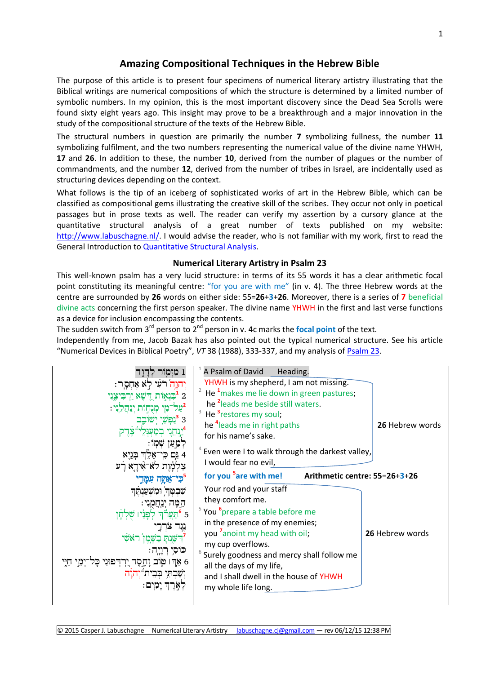# **Amazing Compositional Techniques in the Hebrew Bible**

The purpose of this article is to present four specimens of numerical literary artistry illustrating that the Biblical writings are numerical compositions of which the structure is determined by a limited number of symbolic numbers. In my opinion, this is the most important discovery since the Dead Sea Scrolls were found sixty eight years ago. This insight may prove to be a breakthrough and a major innovation in the study of the compositional structure of the texts of the Hebrew Bible.

The structural numbers in question are primarily the number **7** symbolizing fullness, the number **11** symbolizing fulfilment, and the two numbers representing the numerical value of the divine name YHWH, **17** and **26**. In addition to these, the number **10**, derived from the number of plagues or the number of commandments, and the number **12**, derived from the number of tribes in Israel, are incidentally used as structuring devices depending on the context.

What follows is the tip of an iceberg of sophisticated works of art in the Hebrew Bible, which can be classified as compositional gems illustrating the creative skill of the scribes. They occur not only in poetical passages but in prose texts as well. The reader can verify my assertion by a cursory glance at the quantitative structural analysis of a great number of texts published on my website: [http://www.labuschagne.nl/.](http://www.labuschagne.nl/) I would advise the reader, who is not familiar with my work, first to read the General Introduction to [Quantitative Structural Analysis.](http://www.labuschagne.nl/aspects.pdf)

### **Numerical Literary Artistry in Psalm 23**

This well-known psalm has a very lucid structure: in terms of its 55 words it has a clear arithmetic focal point constituting its meaningful centre: "for you are with me" (in v. 4). The three Hebrew words at the centre are surrounded by **26** words on either side: 55=**26**+**3**+**26**. Moreover, there is a series of **7** beneficial divine acts concerning the first person speaker. The divine name YHWH in the first and last verse functions as a device for inclusion encompassing the contents.

The sudden switch from 3<sup>rd</sup> person to 2<sup>nd</sup> person in v. 4c marks the **focal point** of the text. Independently from me, Jacob Bazak has also pointed out the typical numerical structure. See his article "Numerical Devices in Biblical Poetry", *VT* 38 (1988), 333-337, and my analysis of [Psalm 23.](http://www.labuschagne.nl/ps023.pdf)

|                             | A Psalm of David<br>Heading.                                       |                 |
|-----------------------------|--------------------------------------------------------------------|-----------------|
| רֹעִי לְא אֶחְסֶר:          | YHWH is my shepherd, I am not missing.                             |                 |
| דשא ירביצני                 | He <sup>1</sup> makes me lie down in green pastures;               |                 |
| ינהלני:                     | he <sup>2</sup> leads me beside still waters.                      |                 |
|                             | He <sup>3</sup> restores my soul;                                  |                 |
|                             | he <sup>4</sup> leads me in right paths                            | 26 Hebrew words |
|                             | for his name's sake.                                               |                 |
|                             | Even were I to walk through the darkest valley,                    |                 |
| אלה בגיא                    | I would fear no evil,                                              |                 |
| לא־אִירֵא רַע               |                                                                    |                 |
| אתה עמדי                    | for you <sup>5</sup> are with me!<br>Arithmetic centre: 55=26+3+26 |                 |
| שבטה ומשענתה                | Your rod and your staff                                            |                 |
|                             | they comfort me.                                                   |                 |
|                             | <sup>5</sup> You <sup>6</sup> prepare a table before me            |                 |
|                             |                                                                    |                 |
|                             | in the presence of my enemies;                                     |                 |
|                             | you <sup>7</sup> anoint my head with oil;                          | 26 Hebrew words |
|                             | my cup overflows.                                                  |                 |
|                             | Surely goodness and mercy shall follow me                          |                 |
| 6 אדו טוב<br><b>יְהֶסֶד</b> | all the days of my life,                                           |                 |
| שבתי בבי                    | and I shall dwell in the house of YHWH                             |                 |
|                             | my whole life long.                                                |                 |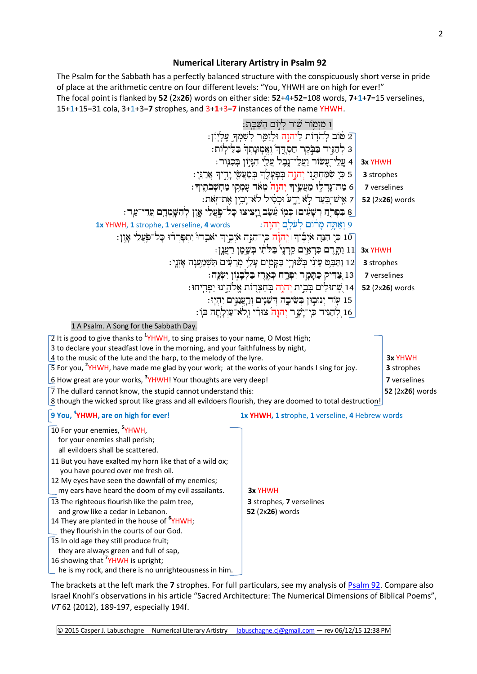### **Numerical Literary Artistry in Psalm 92**

The Psalm for the Sabbath has a perfectly balanced structure with the conspicuously short verse in pride of place at the arithmetic centre on four different levels: "You, YHWH are on high for ever!" The focal point is flanked by **52** (2x**26**) words on either side: **52**+**4**+**52**=108 words, **7**+**1**+**7**=15 verselines, 15+1+15=31 cola, 3+1+3=**7** strophes, and 3+**1**+3=**7** instances of the name YHWH.



The brackets at the left mark the **7** strophes. For full particulars, see my analysis o[f Psalm 92.](http://www.labuschagne.nl/ps092.pdf) Compare also Israel Knohl's observations in his article "Sacred Architecture: The Numerical Dimensions of Biblical Poems", *VT* 62 (2012), 189-197, especially 194f.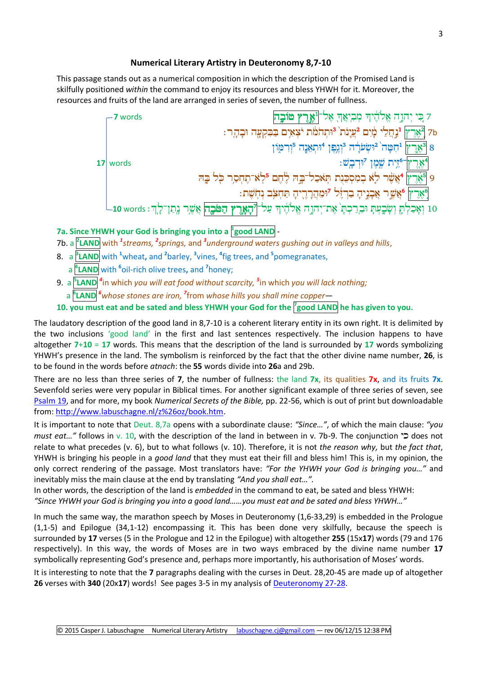### **Numerical Literary Artistry in Deuteronomy 8,7-10**

This passage stands out as a numerical composition in which the description of the Promised Land is skilfully positioned *within* the command to enjoy its resources and bless YHWH for it. Moreover, the resources and fruits of the land are arranged in series of seven, the number of fullness.



## **7a. Since YHWH your God is bringing you into a <sup>1</sup> good LAND** -

7b. a <sup>P</sup>LAND with <sup>1</sup>streams, <sup>2</sup>springs, and <sup>3</sup>underground waters gushing out in valleys and hills,

- 8. a **<sup>3</sup> LAND** with **<sup>1</sup>**wheat**,** and **<sup>2</sup>** barley, **<sup>3</sup>** vines, **<sup>4</sup>** fig trees, and **<sup>5</sup>** pomegranates,
- a **<sup>4</sup> LAND** with **<sup>6</sup>** oil-rich olive trees**,** and **<sup>7</sup>** honey;
- 9. a **<sup>5</sup> LAND** *<sup>4</sup>* in which *you will eat food without scarcity, <sup>5</sup>* in which *you will lack nothing;*
- a **<sup>6</sup> LAND** *<sup>6</sup>whose stones are iron, <sup>7</sup>* from *whose hills you shall mine copper*—

**10. you must eat and be sated and bless YHWH your God for the <sup>7</sup> good LAND he has given to you.**

The laudatory description of the good land in 8,7-10 is a coherent literary entity in its own right. It is delimited by the two inclusions 'good land' in the first and last sentences respectively. The inclusion happens to have altogether **7**+**10** = **17** words. This means that the description of the land is surrounded by **17** words symbolizing YHWH's presence in the land. The symbolism is reinforced by the fact that the other divine name number, **26**, is to be found in the words before *atnach*: the **55** words divide into **26**a and 29b.

There are no less than three series of **7**, the number of fullness: the land **7x**, its qualities **7x**, and its fruits **7x**. Sevenfold series were very popular in Biblical times. For another significant example of three series of seven, see [Psalm 19,](http://www.labuschagne.nl/ps019.pdf) and for more, my book *Numerical Secrets of the Bible,* pp. 22-56, which is out of print but downloadable from[: http://www.labuschagne.nl/z%26oz/book.htm.](http://www.labuschagne.nl/z%26oz/book.htm)

It is important to note that Deut. 8,7a opens with a subordinate clause: *"Since…"*, of which the main clause: *"you must eat..."* follows in v. 10, with the description of the land in between in v. 7b-9. The conjunction **D** does not relate to what precedes (v. 6), but to what follows (v. 10). Therefore, it is not *the reason why,* but *the fact that*, YHWH is bringing his people in a *good land* that they must eat their fill and bless him! This is, in my opinion, the only correct rendering of the passage. Most translators have: *"For the YHWH your God is bringing you…"* and inevitably miss the main clause at the end by translating *"And you shall eat…".*

In other words, the description of the land is *embedded* in the command to eat, be sated and bless YHWH: *"Since YHWH your God is bringing you into a good land……you must eat and be sated and bless YHWH…"*

In much the same way, the marathon speech by Moses in Deuteronomy (1,6-33,29) is embedded in the Prologue (1,1-5) and Epilogue (34,1-12) encompassing it. This has been done very skilfully, because the speech is surrounded by **17** verses (5 in the Prologue and 12 in the Epilogue) with altogether **255** (15x**17**) words (79 and 176 respectively). In this way, the words of Moses are in two ways embraced by the divine name number **17** symbolically representing God's presence and, perhaps more importantly, his authorisation of Moses' words.

It is interesting to note that the **7** paragraphs dealing with the curses in Deut. 28,20-45 are made up of altogether **26** verses with **340** (20x**17**) words! See pages 3-5 in my analysis of [Deuteronomy 27-28.](http://www.labuschagne.nl/deut/5deut27-28.pdf)